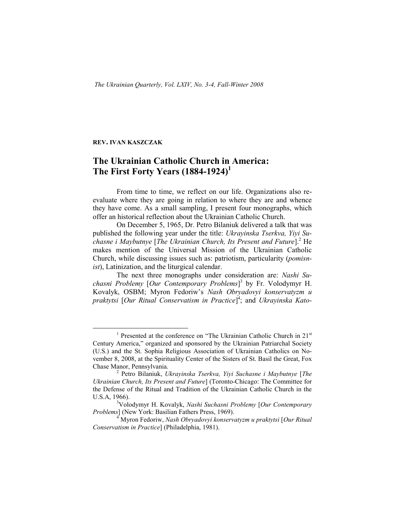## **REV. IVAN KASZCZAK**

## **The Ukrainian Catholic Church in America: The First Forty Years (1884-1924)<sup>1</sup>**

From time to time, we reflect on our life. Organizations also reevaluate where they are going in relation to where they are and whence they have come. As a small sampling, I present four monographs, which offer an historical reflection about the Ukrainian Catholic Church.

On December 5, 1965, Dr. Petro Bilaniuk delivered a talk that was published the following year under the title: *Ukrayinska Tserkva, Yiyi Suchasne i Maybutnye* [*The Ukrainian Church, Its Present and Future*].<sup>2</sup> He makes mention of the Universal Mission of the Ukrainian Catholic Church, while discussing issues such as: patriotism, particularity (*pomisnist*), Latinization, and the liturgical calendar.

The next three monographs under consideration are: *Nashi Suchasni Problemy* [*Our Contemporary Problems*] 3 by Fr. Volodymyr H. Kovalyk, OSBM; Myron Fedoriw's *Nash Obryadovyi konservatyzm u praktytsi* [*Our Ritual Conservatism in Practice*] 4 ; and *Ukrayinska Kato-*

<sup>&</sup>lt;sup>1</sup> Presented at the conference on "The Ukrainian Catholic Church in 21<sup>st</sup> Century America," organized and sponsored by the Ukrainian Patriarchal Society (U.S.) and the St. Sophia Religious Association of Ukrainian Catholics on November 8, 2008, at the Spirituality Center of the Sisters of St. Basil the Great, Fox Chase Manor, Pennsylvania.

<sup>2</sup> Petro Bilaniuk, *Ukrayinska Tserkva, Yiyi Suchasne i Maybutnye* [*The Ukrainian Church, Its Present and Future*] (Toronto-Chicago: The Committee for the Defense of the Ritual and Tradition of the Ukrainian Catholic Church in the U.S.A, 1966).

<sup>3</sup>Volodymyr H. Kovalyk, *Nashi Suchasni Problemy* [*Our Contemporary Problems*] (New York: Basilian Fathers Press, 1969).

<sup>4</sup> Myron Fedoriw, *Nash Obryadovyi konservatyzm u praktytsi* [*Our Ritual Conservatism in Practice*] (Philadelphia, 1981).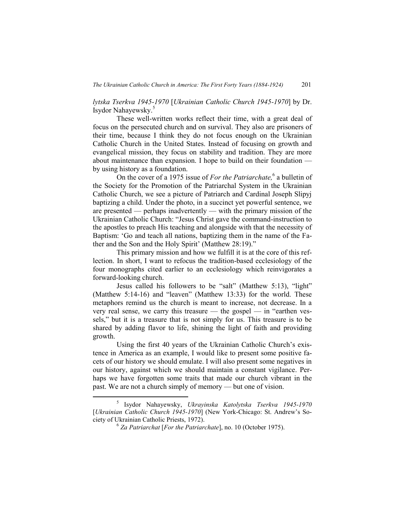*lytska Tserkva 1945-1970* [*Ukrainian Catholic Church 1945-1970*] by Dr. Isydor Nahayewsky. 5

These well-written works reflect their time, with a great deal of focus on the persecuted church and on survival. They also are prisoners of their time, because I think they do not focus enough on the Ukrainian Catholic Church in the United States. Instead of focusing on growth and evangelical mission, they focus on stability and tradition. They are more about maintenance than expansion. I hope to build on their foundation by using history as a foundation.

On the cover of a 1975 issue of *For the Patriarchate,* 6 a bulletin of the Society for the Promotion of the Patriarchal System in the Ukrainian Catholic Church, we see a picture of Patriarch and Cardinal Joseph Slipyj baptizing a child. Under the photo, in a succinct yet powerful sentence, we are presented — perhaps inadvertently — with the primary mission of the Ukrainian Catholic Church: "Jesus Christ gave the command-instruction to the apostles to preach His teaching and alongside with that the necessity of Baptism: 'Go and teach all nations, baptizing them in the name of the Father and the Son and the Holy Spirit' (Matthew 28:19)."

This primary mission and how we fulfill it is at the core of this reflection. In short, I want to refocus the tradition-based ecclesiology of the four monographs cited earlier to an ecclesiology which reinvigorates a forward-looking church.

Jesus called his followers to be "salt" (Matthew 5:13), "light" (Matthew 5:14-16) and "leaven" (Matthew 13:33) for the world. These metaphors remind us the church is meant to increase, not decrease. In a very real sense, we carry this treasure — the gospel — in "earthen vessels," but it is a treasure that is not simply for us. This treasure is to be shared by adding flavor to life, shining the light of faith and providing growth.

Using the first 40 years of the Ukrainian Catholic Church's existence in America as an example, I would like to present some positive facets of our history we should emulate. I will also present some negatives in our history, against which we should maintain a constant vigilance. Perhaps we have forgotten some traits that made our church vibrant in the past. We are not a church simply of memory — but one of vision.

<sup>5</sup> Isydor Nahayewsky, *Ukrayinska Katolytska Tserkva 1945-1970* [*Ukrainian Catholic Church 1945-1970*] (New York-Chicago: St. Andrew's Society of Ukrainian Catholic Priests, 1972).

<sup>6</sup> *Za Patriarchat* [*For the Patriarchate*], no. 10 (October 1975).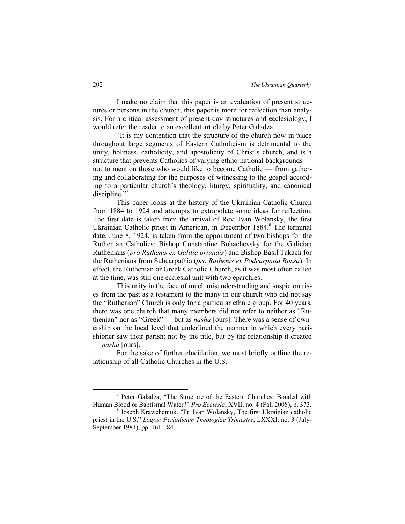I make no claim that this paper is an evaluation of present structures or persons in the church; this paper is more for reflection than analysis. For a critical assessment of present-day structures and ecclesiology, I would refer the reader to an excellent article by Peter Galadza:

"It is my contention that the structure of the church now in place throughout large segments of Eastern Catholicism is detrimental to the unity, holiness, catholicity, and apostolicity of Christ's church, and is a structure that prevents Catholics of varying ethno-national backgrounds not to mention those who would like to become Catholic — from gathering and collaborating for the purposes of witnessing to the gospel according to a particular church's theology, liturgy, spirituality, and canonical discipline."7

This paper looks at the history of the Ukrainian Catholic Church from 1884 to 1924 and attempts to extrapolate some ideas for reflection. The first date is taken from the arrival of Rev. Ivan Wolansky, the first Ukrainian Catholic priest in American, in December 1884.<sup>8</sup> The terminal date, June 8, 1924, is taken from the appointment of two bishops for the Ruthenian Catholics: Bishop Constantine Bohachevsky for the Galician Ruthenians (*pro Ruthenis ex Galitia oriundis*) and Bishop Basil Takach for the Ruthenians from Subcarpathia (*pro Ruthenis ex Podcarpatia Russa*). In effect, the Ruthenian or Greek Catholic Church, as it was most often called at the time, was still one ecclesial unit with two eparchies.

This unity in the face of much misunderstanding and suspicion rises from the past as a testament to the many in our church who did not say the "Ruthenian" Church is only for a particular ethnic group. For 40 years, there was one church that many members did not refer to neither as "Ruthenian" nor as "Greek" — but as *nasha* [ours]. There was a sense of ownership on the local level that underlined the manner in which every parishioner saw their parish: not by the title, but by the relationship it created — *nasha* [ours].

For the sake of further elucidation, we must briefly outline the relationship of all Catholic Churches in the U.S.

<sup>7</sup> Peter Galadza, "The Structure of the Eastern Churches: Bonded with Human Blood or Baptismal Water?" *Pro Ecclesia*, XVII, no. 4 (Fall 2008), p. 373.

<sup>8</sup> Joseph Krawcheniuk. "Fr. Ivan Wolansky, The first Ukrainian catholic priest in the U.S," *Logos: Periodicum Theologiae Trimestre*, LXXXI, no. 3 (July-September 1981), pp. 161-184.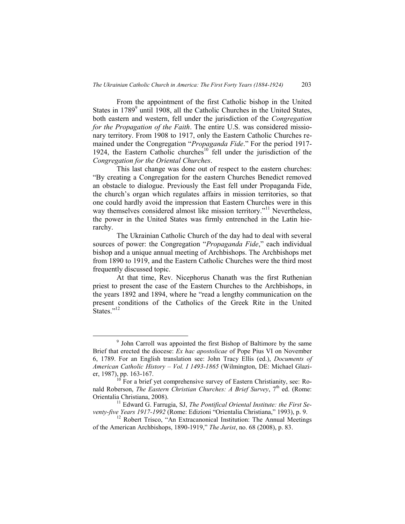From the appointment of the first Catholic bishop in the United States in 1789<sup>9</sup> until 1908, all the Catholic Churches in the United States, both eastern and western, fell under the jurisdiction of the *Congregation for the Propagation of the Faith*. The entire U.S. was considered missionary territory. From 1908 to 1917, only the Eastern Catholic Churches remained under the Congregation "*Propaganda Fide*." For the period 1917- 1924, the Eastern Catholic churches<sup>10</sup> fell under the jurisdiction of the *Congregation for the Oriental Churches*.

This last change was done out of respect to the eastern churches: "By creating a Congregation for the eastern Churches Benedict removed an obstacle to dialogue. Previously the East fell under Propaganda Fide, the church's organ which regulates affairs in mission territories, so that one could hardly avoid the impression that Eastern Churches were in this way themselves considered almost like mission territory."<sup>11</sup> Nevertheless, the power in the United States was firmly entrenched in the Latin hierarchy.

The Ukrainian Catholic Church of the day had to deal with several sources of power: the Congregation "*Propaganda Fide*," each individual bishop and a unique annual meeting of Archbishops. The Archbishops met from 1890 to 1919, and the Eastern Catholic Churches were the third most frequently discussed topic.

At that time, Rev. Nicephorus Chanath was the first Ruthenian priest to present the case of the Eastern Churches to the Archbishops, in the years 1892 and 1894, where he "read a lengthy communication on the present conditions of the Catholics of the Greek Rite in the United States $^{1,12}$ 

<sup>9</sup> John Carroll was appointed the first Bishop of Baltimore by the same Brief that erected the diocese: *Ex hac apostolicae* of Pope Pius VI on November 6, 1789. For an English translation see: John Tracy Ellis (ed.), *Documents of American Catholic History – Vol. I 1493-1865* (Wilmington, DE: Michael Glazier, 1987), pp. 163-167.

 $10$  For a brief yet comprehensive survey of Eastern Christianity, see: Ronald Roberson, *The Eastern Christian Churches: A Brief Survey*, 7<sup>th</sup> ed. (Rome: Orientalia Christiana, 2008).

<sup>&</sup>lt;sup>11</sup> Edward G. Farrugia, SJ, *The Pontifical Oriental Institute: the First Seventy-five Years 1917-1992* (Rome: Edizioni "Orientalia Christiana," 1993), p. 9.

<sup>&</sup>lt;sup>12</sup> Robert Trisco, "An Extracanonical Institution: The Annual Meetings of the American Archbishops, 1890-1919," *The Jurist*, no. 68 (2008), p. 83.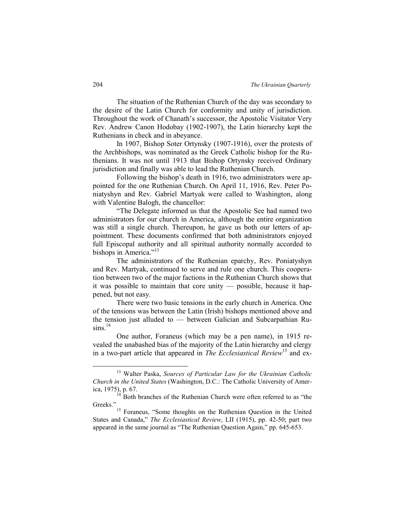The situation of the Ruthenian Church of the day was secondary to the desire of the Latin Church for conformity and unity of jurisdiction. Throughout the work of Chanath's successor, the Apostolic Visitator Very Rev. Andrew Canon Hodobay (1902-1907), the Latin hierarchy kept the Ruthenians in check and in abeyance.

In 1907, Bishop Soter Ortynsky (1907-1916), over the protests of the Archbishops, was nominated as the Greek Catholic bishop for the Ruthenians. It was not until 1913 that Bishop Ortynsky received Ordinary jurisdiction and finally was able to lead the Ruthenian Church.

Following the bishop's death in 1916, two administrators were appointed for the one Ruthenian Church. On April 11, 1916, Rev. Peter Poniatyshyn and Rev. Gabriel Martyak were called to Washington, along with Valentine Balogh, the chancellor:

"The Delegate informed us that the Apostolic See had named two administrators for our church in America, although the entire organization was still a single church. Thereupon, he gave us both our letters of appointment. These documents confirmed that both administrators enjoyed full Episcopal authority and all spiritual authority normally accorded to bishops in America."<sup>13</sup>

The administrators of the Ruthenian eparchy, Rev. Poniatyshyn and Rev. Martyak, continued to serve and rule one church. This cooperation between two of the major factions in the Ruthenian Church shows that it was possible to maintain that core unity — possible, because it happened, but not easy.

There were two basic tensions in the early church in America. One of the tensions was between the Latin (Irish) bishops mentioned above and the tension just alluded to — between Galician and Subcarpathian Ru- $\sin s$ <sup>14</sup>

One author, Foraneus (which may be a pen name), in 1915 revealed the unabashed bias of the majority of the Latin hierarchy and clergy in a two-part article that appeared in *The Ecclesiastical Review*<sup>15</sup> and ex-

<sup>13</sup> Walter Paska, *Sources of Particular Law for the Ukrainian Catholic Church in the United States* (Washington, D.C.: The Catholic University of America, 1975), p. 67.

Both branches of the Ruthenian Church were often referred to as "the Greeks."

<sup>&</sup>lt;sup>15</sup> Foraneus, "Some thoughts on the Ruthenian Question in the United States and Canada," *The Ecclesiastical Review*, LII (1915), pp. 42-50; part two appeared in the same journal as "The Ruthenian Question Again," pp. 645-653.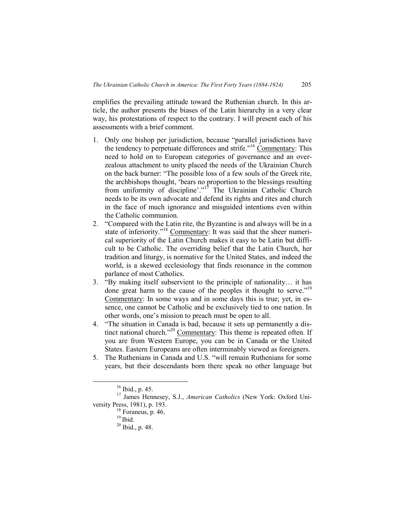emplifies the prevailing attitude toward the Ruthenian church. In this article, the author presents the biases of the Latin hierarchy in a very clear way, his protestations of respect to the contrary. I will present each of his assessments with a brief comment.

- 1. Only one bishop per jurisdiction, because "parallel jurisdictions have the tendency to perpetuate differences and strife."<sup>16</sup> Commentary: This need to hold on to European categories of governance and an overzealous attachment to unity placed the needs of the Ukrainian Church on the back burner: "The possible loss of a few souls of the Greek rite, the archbishops thought, 'bears no proportion to the blessings resulting from uniformity of discipline'."<sup>17</sup> The Ukrainian Catholic Church needs to be its own advocate and defend its rights and rites and church in the face of much ignorance and misguided intentions even within the Catholic communion.
- 2. "Compared with the Latin rite, the Byzantine is and always will be in a state of inferiority."<sup>18</sup> Commentary: It was said that the sheer numerical superiority of the Latin Church makes it easy to be Latin but difficult to be Catholic. The overriding belief that the Latin Church, her tradition and liturgy, is normative for the United States, and indeed the world, is a skewed ecclesiology that finds resonance in the common parlance of most Catholics.
- 3. "By making itself subservient to the principle of nationality… it has done great harm to the cause of the peoples it thought to serve."<sup>19</sup> Commentary: In some ways and in some days this is true; yet, in essence, one cannot be Catholic and be exclusively tied to one nation. In other words, one's mission to preach must be open to all.
- 4. "The situation in Canada is bad, because it sets up permanently a distinct national church."<sup>20</sup> Commentary: This theme is repeated often. If you are from Western Europe, you can be in Canada or the United States. Eastern Europeans are often interminably viewed as foreigners.
- 5. The Ruthenians in Canada and U.S. "will remain Ruthenians for some years, but their descendants born there speak no other language but

 $16$  Ibid., p. 45.

<sup>17</sup> James Hennesey, S.J., *American Catholics* (New York: Oxford University Press, 1981), p. 193.

<sup>&</sup>lt;sup>18</sup> Foraneus, p. 46.

 $19$  Ibid.

<sup>20</sup> Ibid., p. 48.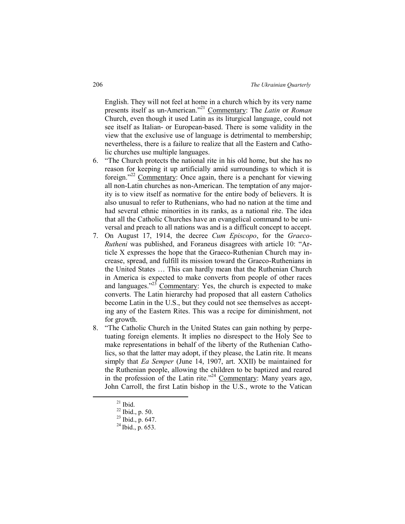English. They will not feel at home in a church which by its very name presents itself as un-American." <sup>21</sup> Commentary: The *Latin* or *Roman* Church, even though it used Latin as its liturgical language, could not see itself as Italian- or European-based. There is some validity in the view that the exclusive use of language is detrimental to membership; nevertheless, there is a failure to realize that all the Eastern and Catholic churches use multiple languages.

- 6. "The Church protects the national rite in his old home, but she has no reason for keeping it up artificially amid surroundings to which it is foreign."<sup>22</sup> Commentary: Once again, there is a penchant for viewing all non-Latin churches as non-American. The temptation of any majority is to view itself as normative for the entire body of believers. It is also unusual to refer to Ruthenians, who had no nation at the time and had several ethnic minorities in its ranks, as a national rite. The idea that all the Catholic Churches have an evangelical command to be universal and preach to all nations was and is a difficult concept to accept.
- 7. On August 17, 1914, the decree *Cum Episcopo*, for the *Graeco-Rutheni* was published, and Foraneus disagrees with article 10: "Article X expresses the hope that the Graeco-Ruthenian Church may increase, spread, and fulfill its mission toward the Graeco-Ruthenians in the United States … This can hardly mean that the Ruthenian Church in America is expected to make converts from people of other races and languages."<sup>23</sup> Commentary: Yes, the church is expected to make converts. The Latin hierarchy had proposed that all eastern Catholics become Latin in the U.S., but they could not see themselves as accepting any of the Eastern Rites. This was a recipe for diminishment, not for growth.
- 8. "The Catholic Church in the United States can gain nothing by perpetuating foreign elements. It implies no disrespect to the Holy See to make representations in behalf of the liberty of the Ruthenian Catholics, so that the latter may adopt, if they please, the Latin rite. It means simply that *Ea Semper* (June 14, 1907, art. XXII) be maintained for the Ruthenian people, allowing the children to be baptized and reared in the profession of the Latin rite."<sup>24</sup> Commentary: Many years ago, John Carroll, the first Latin bishop in the U.S., wrote to the Vatican

 $21$  Ibid.

<sup>22</sup> Ibid., p. 50.

 $^{23}$  Ibid., p. 647.

 $^{24}$  Ibid., p. 653.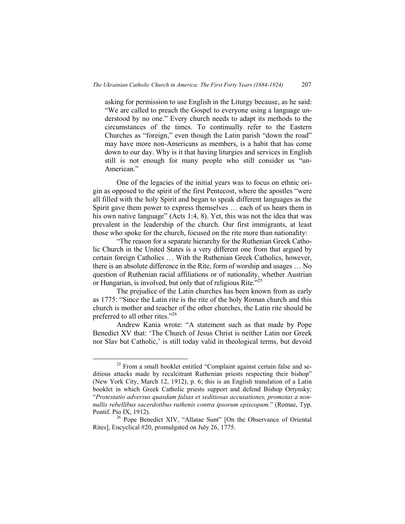asking for permission to use English in the Liturgy because, as he said: "We are called to preach the Gospel to everyone using a language understood by no one." Every church needs to adapt its methods to the circumstances of the times. To continually refer to the Eastern Churches as "foreign," even though the Latin parish "down the road" may have more non-Americans as members, is a habit that has come down to our day. Why is it that having liturgies and services in English still is not enough for many people who still consider us "un-American."

One of the legacies of the initial years was to focus on ethnic origin as opposed to the spirit of the first Pentecost, where the apostles "were all filled with the holy Spirit and began to speak different languages as the Spirit gave them power to express themselves … each of us hears them in his own native language" (Acts 1:4, 8). Yet, this was not the idea that was prevalent in the leadership of the church. Our first immigrants, at least those who spoke for the church, focused on the rite more than nationality:

"The reason for a separate hierarchy for the Ruthenian Greek Catholic Church in the United States is a very different one from that argued by certain foreign Catholics … With the Ruthenian Greek Catholics, however, there is an absolute difference in the Rite, form of worship and usages … No question of Ruthenian racial affiliations or of nationality, whether Austrian or Hungarian, is involved, but only that of religious Rite."<sup>25</sup>

The prejudice of the Latin churches has been known from as early as 1775: "Since the Latin rite is the rite of the holy Roman church and this church is mother and teacher of the other churches, the Latin rite should be preferred to all other rites."26

Andrew Kania wrote: "A statement such as that made by Pope Benedict XV that: 'The Church of Jesus Christ is neither Latin nor Greek nor Slav but Catholic,' is still today valid in theological terms, but devoid

<sup>&</sup>lt;sup>25</sup> From a small booklet entitled "Complaint against certain false and seditious attacks made by recalcitrant Ruthenian priests respecting their bishop" (New York City, March 12, 1912), p. 6; this is an English translation of a Latin booklet in which Greek Catholic priests support and defend Bishop Ortynsky: "*Protestatio adversus quasdam falsas et seditiosas accusationes, promotas a nonnullis rebellibus sacerdotibus ruthenis contra ipsorum episcopum.*" (Romae, Typ. Pontif. Pio IX, 1912).

<sup>&</sup>lt;sup>26</sup> Pope Benedict XIV, "Allatae Sunt" [On the Observance of Oriental Rites], Encyclical #20, promulgated on July 26, 1775.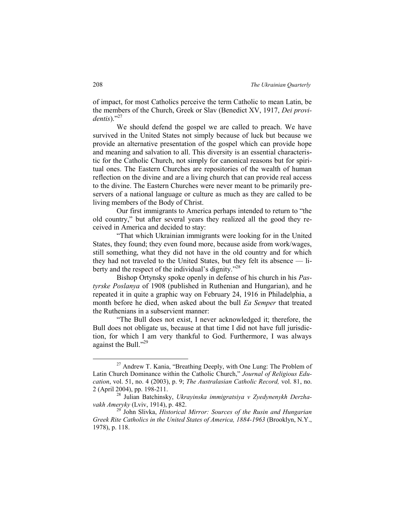of impact, for most Catholics perceive the term Catholic to mean Latin, be the members of the Church, Greek or Slav (Benedict XV, 1917, *Dei providentis*)." 27

We should defend the gospel we are called to preach. We have survived in the United States not simply because of luck but because we provide an alternative presentation of the gospel which can provide hope and meaning and salvation to all. This diversity is an essential characteristic for the Catholic Church, not simply for canonical reasons but for spiritual ones. The Eastern Churches are repositories of the wealth of human reflection on the divine and are a living church that can provide real access to the divine. The Eastern Churches were never meant to be primarily preservers of a national language or culture as much as they are called to be living members of the Body of Christ.

Our first immigrants to America perhaps intended to return to "the old country," but after several years they realized all the good they received in America and decided to stay:

"That which Ukrainian immigrants were looking for in the United States, they found; they even found more, because aside from work/wages, still something, what they did not have in the old country and for which they had not traveled to the United States, but they felt its absence — liberty and the respect of the individual's dignity."<sup>28</sup>

Bishop Ortynsky spoke openly in defense of his church in his *Pastyrske Poslanya* of 1908 (published in Ruthenian and Hungarian), and he repeated it in quite a graphic way on February 24, 1916 in Philadelphia, a month before he died, when asked about the bull *Ea Semper* that treated the Ruthenians in a subservient manner:

"The Bull does not exist, I never acknowledged it; therefore, the Bull does not obligate us, because at that time I did not have full jurisdiction, for which I am very thankful to God. Furthermore, I was always against the Bull."<sup>29</sup>

 $27$  Andrew T. Kania, "Breathing Deeply, with One Lung: The Problem of Latin Church Dominance within the Catholic Church," *Journal of Religious Education*, vol. 51, no. 4 (2003), p. 9; *The Australasian Catholic Record,* vol. 81, no. 2 (April 2004), pp. 198-211.

<sup>28</sup> Julian Batchinsky, *Ukrayinska immigratsiya v Zyedynenykh Derzhavakh Ameryky* (Lviv, 1914), p. 482.

<sup>29</sup> John Slivka, *Historical Mirror: Sources of the Rusin and Hungarian Greek Rite Catholics in the United States of America, 1884-1963* (Brooklyn, N.Y., 1978), p. 118.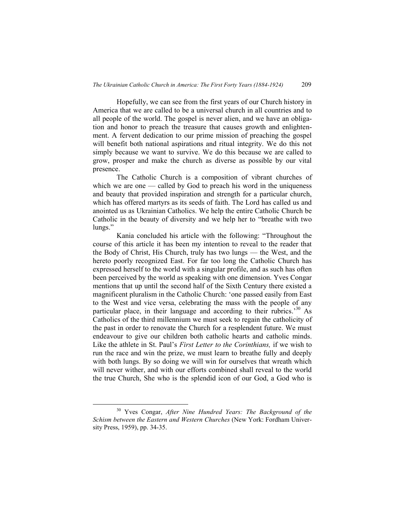Hopefully, we can see from the first years of our Church history in America that we are called to be a universal church in all countries and to all people of the world. The gospel is never alien, and we have an obligation and honor to preach the treasure that causes growth and enlightenment. A fervent dedication to our prime mission of preaching the gospel will benefit both national aspirations and ritual integrity. We do this not simply because we want to survive. We do this because we are called to grow, prosper and make the church as diverse as possible by our vital presence.

The Catholic Church is a composition of vibrant churches of which we are one — called by God to preach his word in the uniqueness and beauty that provided inspiration and strength for a particular church, which has offered martyrs as its seeds of faith. The Lord has called us and anointed us as Ukrainian Catholics. We help the entire Catholic Church be Catholic in the beauty of diversity and we help her to "breathe with two lungs."

Kania concluded his article with the following: "Throughout the course of this article it has been my intention to reveal to the reader that the Body of Christ, His Church, truly has two lungs — the West, and the hereto poorly recognized East. For far too long the Catholic Church has expressed herself to the world with a singular profile, and as such has often been perceived by the world as speaking with one dimension. Yves Congar mentions that up until the second half of the Sixth Century there existed a magnificent pluralism in the Catholic Church: 'one passed easily from East to the West and vice versa, celebrating the mass with the people of any particular place, in their language and according to their rubrics.<sup>30</sup> As Catholics of the third millennium we must seek to regain the catholicity of the past in order to renovate the Church for a resplendent future. We must endeavour to give our children both catholic hearts and catholic minds. Like the athlete in St. Paul's *First Letter to the Corinthians,* if we wish to run the race and win the prize, we must learn to breathe fully and deeply with both lungs. By so doing we will win for ourselves that wreath which will never wither, and with our efforts combined shall reveal to the world the true Church, She who is the splendid icon of our God, a God who is

<sup>30</sup> Yves Congar, *After Nine Hundred Years: The Background of the Schism between the Eastern and Western Churches* (New York: Fordham University Press, 1959), pp. 34-35.